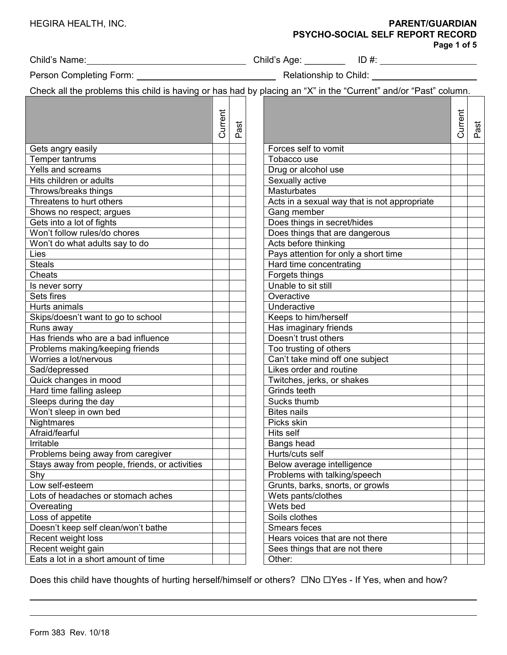| HEGIRA HEALTH, INC. |  |
|---------------------|--|
|                     |  |
|                     |  |

## HEGIRA HEALTH, INC. **PARENT/GUARDIAN PSYCHO-SOCIAL SELF REPORT RECORD**

**Page 1 of 5**

Person Completing Form: Relationship to Child:

Check all the problems this child is having or has had by placing an "X" in the "Current" and/or "Past" column.

|                                                |         |            | Oncen all the problems this child is naving or has nad by placing an A fin the Ounchit and/or in ast column. |         |      |
|------------------------------------------------|---------|------------|--------------------------------------------------------------------------------------------------------------|---------|------|
|                                                | Current | iast<br>n. |                                                                                                              | Current | Past |
| Gets angry easily                              |         |            | Forces self to vomit                                                                                         |         |      |
| Temper tantrums                                |         |            | Tobacco use                                                                                                  |         |      |
| Yells and screams                              |         |            | Drug or alcohol use                                                                                          |         |      |
| Hits children or adults                        |         |            | Sexually active                                                                                              |         |      |
| Throws/breaks things                           |         |            | <b>Masturbates</b>                                                                                           |         |      |
| Threatens to hurt others                       |         |            | Acts in a sexual way that is not appropriate                                                                 |         |      |
| Shows no respect; argues                       |         |            | Gang member                                                                                                  |         |      |
| Gets into a lot of fights                      |         |            | Does things in secret/hides                                                                                  |         |      |
| Won't follow rules/do chores                   |         |            | Does things that are dangerous                                                                               |         |      |
| Won't do what adults say to do                 |         |            | Acts before thinking                                                                                         |         |      |
| Lies                                           |         |            | Pays attention for only a short time                                                                         |         |      |
| <b>Steals</b>                                  |         |            | Hard time concentrating                                                                                      |         |      |
| Cheats                                         |         |            | Forgets things                                                                                               |         |      |
| Is never sorry                                 |         |            | Unable to sit still                                                                                          |         |      |
| Sets fires                                     |         |            | Overactive                                                                                                   |         |      |
| Hurts animals                                  |         |            | Underactive                                                                                                  |         |      |
| Skips/doesn't want to go to school             |         |            | Keeps to him/herself                                                                                         |         |      |
| Runs away                                      |         |            | Has imaginary friends                                                                                        |         |      |
| Has friends who are a bad influence            |         |            | Doesn't trust others                                                                                         |         |      |
| Problems making/keeping friends                |         |            | Too trusting of others                                                                                       |         |      |
| Worries a lot/nervous                          |         |            | Can't take mind off one subject                                                                              |         |      |
| Sad/depressed                                  |         |            | Likes order and routine                                                                                      |         |      |
| Quick changes in mood                          |         |            | Twitches, jerks, or shakes                                                                                   |         |      |
| Hard time falling asleep                       |         |            | Grinds teeth                                                                                                 |         |      |
| Sleeps during the day                          |         |            | Sucks thumb                                                                                                  |         |      |
| Won't sleep in own bed                         |         |            | <b>Bites nails</b>                                                                                           |         |      |
| Nightmares                                     |         |            | Picks skin                                                                                                   |         |      |
| Afraid/fearful                                 |         |            | Hits self                                                                                                    |         |      |
| Irritable                                      |         |            | Bangs head                                                                                                   |         |      |
| Problems being away from caregiver             |         |            | Hurts/cuts self                                                                                              |         |      |
| Stays away from people, friends, or activities |         |            | Below average intelligence                                                                                   |         |      |
| Shy                                            |         |            | Problems with talking/speech                                                                                 |         |      |
| Low self-esteem                                |         |            | Grunts, barks, snorts, or growls                                                                             |         |      |
| Lots of headaches or stomach aches             |         |            | Wets pants/clothes                                                                                           |         |      |
| Overeating                                     |         |            | Wets bed                                                                                                     |         |      |
| Loss of appetite                               |         |            | Soils clothes                                                                                                |         |      |
| Doesn't keep self clean/won't bathe            |         |            | Smears feces                                                                                                 |         |      |
| Recent weight loss                             |         |            | Hears voices that are not there                                                                              |         |      |
| Recent weight gain                             |         |            | Sees things that are not there                                                                               |         |      |
| Eats a lot in a short amount of time           |         |            | Other:                                                                                                       |         |      |

Does this child have thoughts of hurting herself/himself or others?  $\Box$ No  $\Box$ Yes - If Yes, when and how?

Child's Name: Child's Age: \_\_\_\_\_\_\_\_ ID #: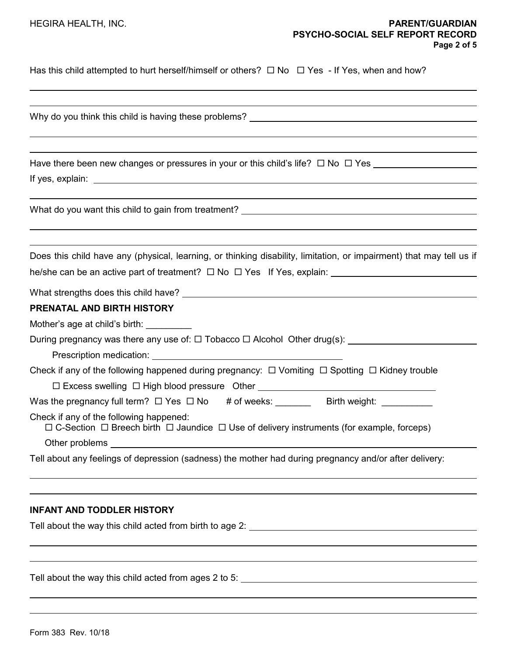Has this child attempted to hurt herself/himself or others?  $\Box$  No  $\Box$  Yes - If Yes, when and how?

| Have there been new changes or pressures in your or this child's life? $\Box$ No $\Box$ Yes                                                                                                                                    |
|--------------------------------------------------------------------------------------------------------------------------------------------------------------------------------------------------------------------------------|
| What do you want this child to gain from treatment? _____________________________                                                                                                                                              |
| Does this child have any (physical, learning, or thinking disability, limitation, or impairment) that may tell us if                                                                                                           |
| he/she can be an active part of treatment? $\square$ No $\square$ Yes If Yes, explain: __________________________________                                                                                                      |
|                                                                                                                                                                                                                                |
| PRENATAL AND BIRTH HISTORY                                                                                                                                                                                                     |
| Mother's age at child's birth:                                                                                                                                                                                                 |
| During pregnancy was there any use of: □ Tobacco □ Alcohol Other drug(s): _________________________                                                                                                                            |
| Prescription medication: Network and the set of the set of the set of the set of the set of the set of the set of the set of the set of the set of the set of the set of the set of the set of the set of the set of the set o |
| Check if any of the following happened during pregnancy: $\Box$ Vomiting $\Box$ Spotting $\Box$ Kidney trouble                                                                                                                 |
| □ Excess swelling □ High blood pressure Other __________________________________                                                                                                                                               |
| Was the pregnancy full term? $\Box$ Yes $\Box$ No # of weeks: _________ Birth weight: ___________                                                                                                                              |
| Check if any of the following happened:<br>$\Box$ C-Section $\Box$ Breech birth $\Box$ Jaundice $\Box$ Use of delivery instruments (for example, forceps)                                                                      |
|                                                                                                                                                                                                                                |
| Tell about any feelings of depression (sadness) the mother had during pregnancy and/or after delivery:                                                                                                                         |
|                                                                                                                                                                                                                                |
|                                                                                                                                                                                                                                |

Tell about the way this child acted from birth to age 2:

Tell about the way this child acted from ages 2 to 5: University Management Control of the Way 100 Management Co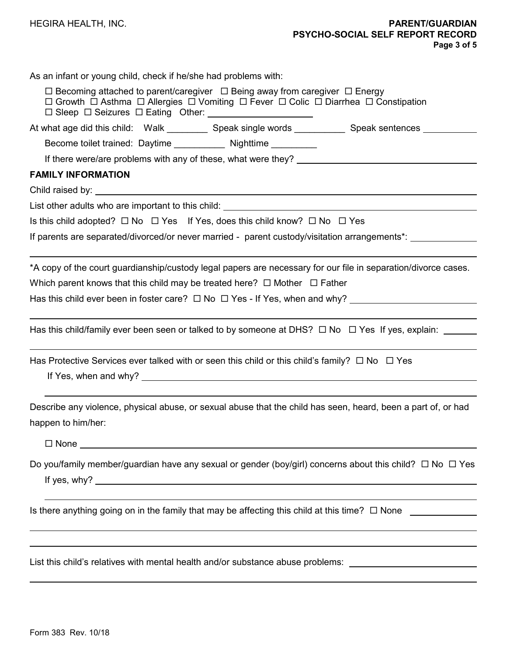| As an infant or young child, check if he/she had problems with: |  |
|-----------------------------------------------------------------|--|
|-----------------------------------------------------------------|--|

| $\Box$ Becoming attached to parent/caregiver $\Box$ Being away from caregiver $\Box$ Energy<br>$\Box$ Growth $\Box$ Asthma $\Box$ Allergies $\Box$ Vomiting $\Box$ Fever $\Box$ Colic $\Box$ Diarrhea $\Box$ Constipation |
|---------------------------------------------------------------------------------------------------------------------------------------------------------------------------------------------------------------------------|
| At what age did this child: Walk ___________ Speak single words ____________ Speak sentences __________                                                                                                                   |
| Become toilet trained: Daytime _____________ Nighttime __________                                                                                                                                                         |
|                                                                                                                                                                                                                           |
| <b>FAMILY INFORMATION</b>                                                                                                                                                                                                 |
|                                                                                                                                                                                                                           |
|                                                                                                                                                                                                                           |
| Is this child adopted? $\Box$ No $\Box$ Yes If Yes, does this child know? $\Box$ No $\Box$ Yes                                                                                                                            |
| If parents are separated/divorced/or never married - parent custody/visitation arrangements*: _______________                                                                                                             |
| *A copy of the court guardianship/custody legal papers are necessary for our file in separation/divorce cases.                                                                                                            |
| Which parent knows that this child may be treated here? $\Box$ Mother $\Box$ Father                                                                                                                                       |
|                                                                                                                                                                                                                           |
| Has this child/family ever been seen or talked to by someone at DHS? $\Box$ No $\Box$ Yes If yes, explain:                                                                                                                |
| Has Protective Services ever talked with or seen this child or this child's family? $\Box$ No $\Box$ Yes                                                                                                                  |
| Describe any violence, physical abuse, or sexual abuse that the child has seen, heard, been a part of, or had<br>happen to him/her:                                                                                       |
| $\Box$ None                                                                                                                                                                                                               |
| Do you/family member/guardian have any sexual or gender (boy/girl) concerns about this child? $\Box$ No $\Box$ Yes<br>If yes, why? $\_\_$                                                                                 |
| Is there anything going on in the family that may be affecting this child at this time? $\Box$ None $\Box$                                                                                                                |
| List this child's relatives with mental health and/or substance abuse problems:                                                                                                                                           |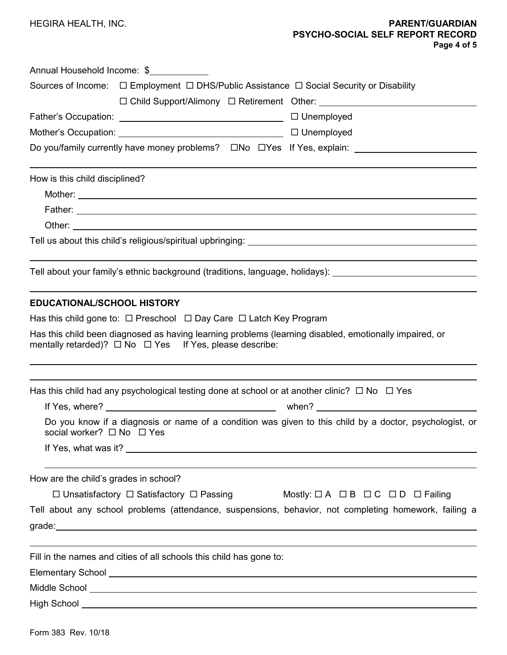|                                       | Annual Household Income: \$                                                                                            |
|---------------------------------------|------------------------------------------------------------------------------------------------------------------------|
|                                       | Sources of Income:  □ Employment □ DHS/Public Assistance □ Social Security or Disability                               |
|                                       | □ Child Support/Alimony □ Retirement Other: ___________________________________                                        |
|                                       |                                                                                                                        |
|                                       |                                                                                                                        |
|                                       |                                                                                                                        |
| How is this child disciplined?        |                                                                                                                        |
|                                       |                                                                                                                        |
|                                       | Father: 2008 2012 2022 2023 2024 2022 2022 2023 2024 2022 2023 2024 2022 2023 2024 2022 2023 2024 2022 2023 20         |
|                                       |                                                                                                                        |
|                                       |                                                                                                                        |
|                                       | Tell about your family's ethnic background (traditions, language, holidays): _______________________                   |
|                                       | mentally retarded)? $\Box$ No $\Box$ Yes If Yes, please describe:                                                      |
|                                       | Has this child had any psychological testing done at school or at another clinic? $\Box$ No $\Box$ Yes                 |
| social worker? □ No □ Yes             | Do you know if a diagnosis or name of a condition was given to this child by a doctor, psychologist, or                |
| How are the child's grades in school? |                                                                                                                        |
|                                       | Mostly: $\Box A$ $\Box B$ $\Box C$ $\Box D$ $\Box$ Failing<br>$\Box$ Unsatisfactory $\Box$ Satisfactory $\Box$ Passing |
|                                       | Tell about any school problems (attendance, suspensions, behavior, not completing homework, failing a                  |
|                                       | grade: <u>www.community.community.community.com</u>                                                                    |
|                                       | Fill in the names and cities of all schools this child has gone to:                                                    |
|                                       |                                                                                                                        |
|                                       |                                                                                                                        |
|                                       |                                                                                                                        |
|                                       |                                                                                                                        |